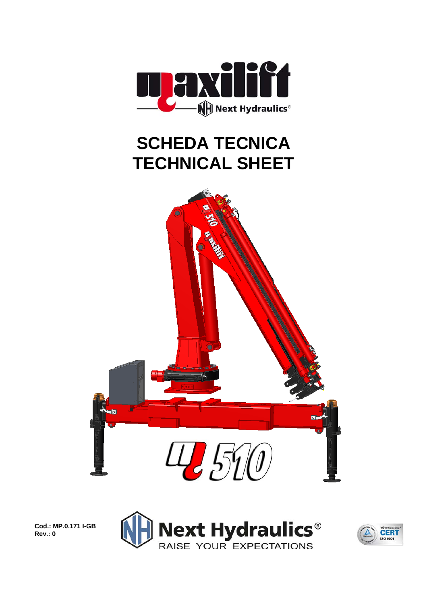

## **SCHEDA TECNICA TECHNICAL SHEET**



**Cod.: MP.0.171 I-GB Rev.: 0** 



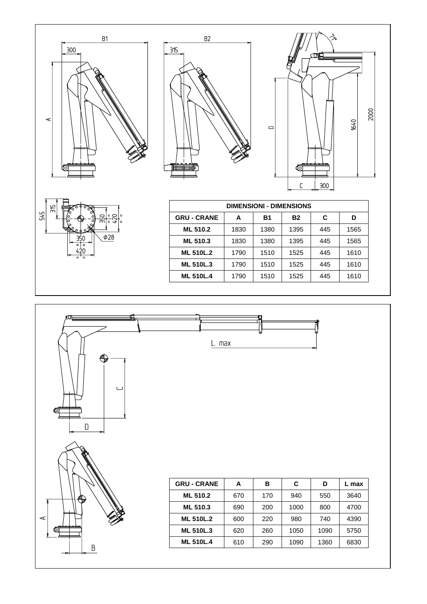







| <b>DIMENSIONI - DIMENSIONS</b> |      |           |           |     |      |  |  |
|--------------------------------|------|-----------|-----------|-----|------|--|--|
| <b>GRU - CRANE</b>             | А    | <b>B1</b> | <b>B2</b> | C   | D    |  |  |
| <b>ML 510.2</b>                | 1830 | 1380      | 1395      | 445 | 1565 |  |  |
| <b>ML 510.3</b>                | 1830 | 1380      | 1395      | 445 | 1565 |  |  |
| <b>ML 510L.2</b>               | 1790 | 1510      | 1525      | 445 | 1610 |  |  |
| <b>ML 510L.3</b>               | 1790 | 1510      | 1525      | 445 | 1610 |  |  |
| <b>ML 510L.4</b>               | 1790 | 1510      | 1525      | 445 | 1610 |  |  |

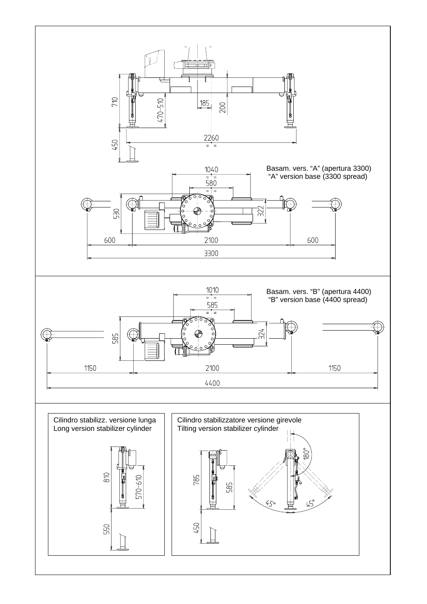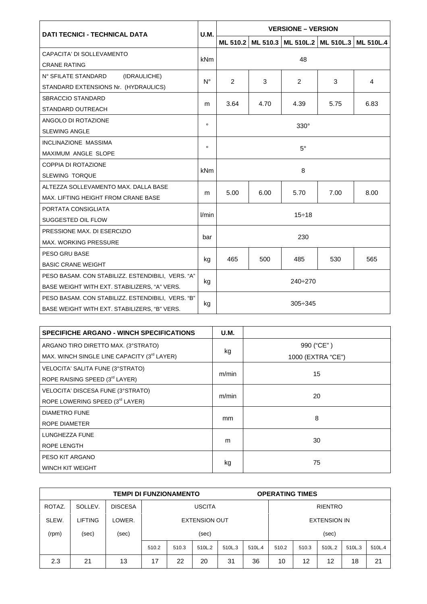| <b>DATI TECNICI - TECHNICAL DATA</b>              |             | <b>VERSIONE – VERSION</b> |      |                                             |      |                  |  |  |  |
|---------------------------------------------------|-------------|---------------------------|------|---------------------------------------------|------|------------------|--|--|--|
|                                                   |             |                           |      | ML 510.2   ML 510.3   ML 510L.2   ML 510L.3 |      | <b>ML 510L.4</b> |  |  |  |
| CAPACITA' DI SOLLEVAMENTO<br><b>CRANE RATING</b>  |             |                           |      |                                             |      |                  |  |  |  |
|                                                   |             | 48                        |      |                                             |      |                  |  |  |  |
| N° SFILATE STANDARD<br>(IDRAULICHE)               | $N^{\circ}$ | $\overline{2}$            | 3    | 2                                           | 3    | 4                |  |  |  |
| STANDARD EXTENSIONS Nr. (HYDRAULICS)              |             |                           |      |                                             |      |                  |  |  |  |
| <b>SBRACCIO STANDARD</b>                          | m           | 3.64                      | 4.70 | 4.39                                        |      | 6.83             |  |  |  |
| <b>STANDARD OUTREACH</b>                          |             |                           |      |                                             | 5.75 |                  |  |  |  |
| ANGOLO DI ROTAZIONE                               | $\circ$     |                           |      |                                             |      |                  |  |  |  |
| <b>SLEWING ANGLE</b>                              |             | $330^\circ$               |      |                                             |      |                  |  |  |  |
| INCLINAZIONE MASSIMA                              | $\circ$     |                           |      |                                             |      |                  |  |  |  |
| MAXIMUM ANGLE SLOPE                               |             | $5^\circ$                 |      |                                             |      |                  |  |  |  |
| <b>COPPIA DI ROTAZIONE</b>                        |             | 8                         |      |                                             |      |                  |  |  |  |
| <b>SLEWING TORQUE</b>                             | kNm         |                           |      |                                             |      |                  |  |  |  |
| ALTEZZA SOLLEVAMENTO MAX. DALLA BASE              | 5.00<br>m   |                           | 6.00 | 5.70                                        | 7.00 | 8.00             |  |  |  |
| MAX. LIFTING HEIGHT FROM CRANE BASE               |             |                           |      |                                             |      |                  |  |  |  |
| PORTATA CONSIGLIATA                               |             | $15 \div 18$              |      |                                             |      |                  |  |  |  |
| SUGGESTED OIL FLOW                                |             |                           |      |                                             |      |                  |  |  |  |
| PRESSIONE MAX. DI ESERCIZIO                       |             | 230                       |      |                                             |      |                  |  |  |  |
| <b>MAX. WORKING PRESSURE</b>                      | bar         |                           |      |                                             |      |                  |  |  |  |
| PESO GRU BASE                                     |             | 465                       | 500  | 485                                         | 530  | 565              |  |  |  |
| <b>BASIC CRANE WEIGHT</b>                         | kg          |                           |      |                                             |      |                  |  |  |  |
| PESO BASAM. CON STABILIZZ. ESTENDIBILI, VERS. "A" |             | $240 \div 270$<br>kg      |      |                                             |      |                  |  |  |  |
| BASE WEIGHT WITH EXT. STABILIZERS, "A" VERS.      |             |                           |      |                                             |      |                  |  |  |  |
| PESO BASAM. CON STABILIZZ. ESTENDIBILI, VERS. "B" | kg          |                           |      |                                             |      |                  |  |  |  |
| BASE WEIGHT WITH EXT. STABILIZERS, "B" VERS.      |             | $305 \div 345$            |      |                                             |      |                  |  |  |  |

| <b>SPECIFICHE ARGANO - WINCH SPECIFICATIONS</b>         | <b>U.M.</b> |                   |  |  |
|---------------------------------------------------------|-------------|-------------------|--|--|
| ARGANO TIRO DIRETTO MAX. (3°STRATO)                     |             | 990 ("CE")        |  |  |
| MAX. WINCH SINGLE LINE CAPACITY (3 <sup>rd</sup> LAYER) | kg          | 1000 (EXTRA "CE") |  |  |
| VELOCITA' SALITA FUNE (3°STRATO)                        |             |                   |  |  |
| ROPE RAISING SPEED (3rd LAYER)                          | m/min       | 15                |  |  |
| VELOCITA' DISCESA FUNE (3°STRATO)                       |             |                   |  |  |
| ROPE LOWERING SPEED (3rd LAYER)                         | m/min       | 20                |  |  |
| <b>DIAMETRO FUNE</b>                                    |             | 8                 |  |  |
| <b>ROPE DIAMETER</b>                                    | mm          |                   |  |  |
| LUNGHEZZA FUNE                                          |             | 30                |  |  |
| <b>ROPE LENGTH</b>                                      | m           |                   |  |  |
| PESO KIT ARGANO                                         |             | 75                |  |  |
| WINCH KIT WEIGHT                                        | kg          |                   |  |  |

| <b>TEMPI DI FUNZIONAMENTO</b> |                |                |                      |       |        |        | <b>OPERATING TIMES</b> |       |                     |        |        |        |
|-------------------------------|----------------|----------------|----------------------|-------|--------|--------|------------------------|-------|---------------------|--------|--------|--------|
| ROTAZ.                        | SOLLEV.        | <b>DISCESA</b> | <b>USCITA</b>        |       |        |        | <b>RIENTRO</b>         |       |                     |        |        |        |
| SLEW.                         | <b>LIFTING</b> | LOWER.         | <b>EXTENSION OUT</b> |       |        |        |                        |       | <b>EXTENSION IN</b> |        |        |        |
| (rpm)                         | (sec)          | (sec)          | (sec)                |       |        |        |                        |       | (sec)               |        |        |        |
|                               |                |                | 510.2                | 510.3 | 510L.2 | 510L.3 | 510L.4                 | 510.2 | 510.3               | 510L.2 | 510L.3 | 510L.4 |
| 2.3                           | 21             | 13             | 17                   | 22    | 20     | 31     | 36                     | 10    | 12                  | 12     | 18     | 21     |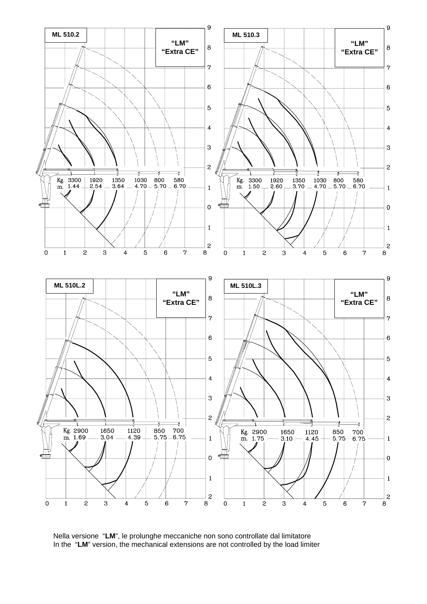

 Nella versione "**LM**", le prolunghe meccaniche non sono controllate dal limitatore In the "**LM**" version, the mechanical extensions are not controlled by the load limiter